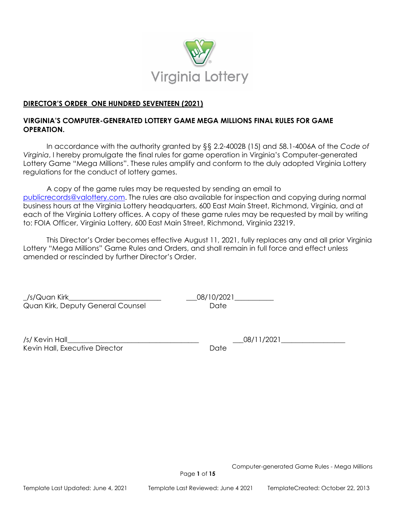

# **DIRECTOR'S ORDER ONE HUNDRED SEVENTEEN (2021)**

# **VIRGINIA'S COMPUTER-GENERATED LOTTERY GAME MEGA MILLIONS FINAL RULES FOR GAME OPERATION.**

In accordance with the authority granted by §§ 2.2-4002B (15) and 58.1-4006A of the *Code of Virginia*, I hereby promulgate the final rules for game operation in Virginia's Computer-generated Lottery Game "Mega Millions". These rules amplify and conform to the duly adopted Virginia Lottery regulations for the conduct of lottery games.

A copy of the game rules may be requested by sending an email to [publicrecords@valottery.com.](mailto:publicrecords@valottery.com) The rules are also available for inspection and copying during normal business hours at the Virginia Lottery headquarters, 600 East Main Street, Richmond, Virginia, and at each of the Virginia Lottery offices. A copy of these game rules may be requested by mail by writing to: FOIA Officer, Virginia Lottery, 600 East Main Street, Richmond, Virginia 23219.

This Director's Order becomes effective August 11, 2021, fully replaces any and all prior Virginia Lottery "Mega Millions" Game Rules and Orders, and shall remain in full force and effect unless amended or rescinded by further Director's Order.

\_/s/Quan Kirk\_\_\_\_\_\_\_\_\_\_\_\_\_\_\_\_\_\_\_\_\_\_\_\_\_\_ \_\_\_08/10/2021\_\_\_\_\_\_\_\_\_\_\_ Quan Kirk, Deputy General Counsel **Example 20 Final Counsel** 

| /s/ Kevin Hall                 |      |
|--------------------------------|------|
| Kevin Hall, Executive Director | Date |

 $\_$  08/11/2021

Computer-generated Game Rules - Mega Millions

Page **1** of **15**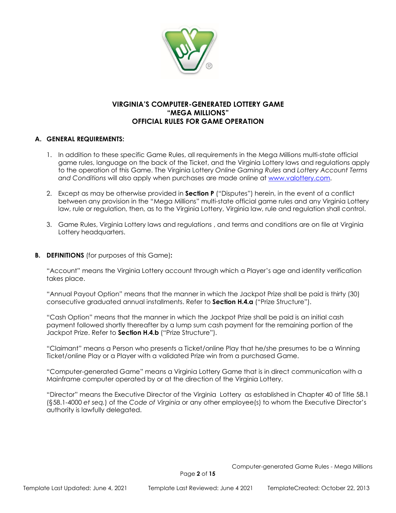

## **VIRGINIA'S COMPUTER-GENERATED LOTTERY GAME "MEGA MILLIONS" OFFICIAL RULES FOR GAME OPERATION**

### **A. GENERAL REQUIREMENTS:**

- 1. In addition to these specific Game Rules, all requirements in the Mega Millions multi-state official game rules, language on the back of the Ticket, and the Virginia Lottery laws and regulations apply to the operation of this Game. The Virginia Lottery *Online Gaming Rules* and *Lottery Account Terms and Conditions* will also apply when purchases are made online at [www.valottery.com.](http://www.valottery.com/)
- 2. Except as may be otherwise provided in **Section P** ("Disputes") herein, in the event of a conflict between any provision in the "Mega Millions" multi-state official game rules and any Virginia Lottery law, rule or regulation, then, as to the Virginia Lottery, Virginia law, rule and regulation shall control.
- 3. Game Rules, Virginia Lottery laws and regulations , and terms and conditions are on file at Virginia Lottery headquarters.
- **B. DEFINITIONS** (for purposes of this Game)**:**

"Account" means the Virginia Lottery account through which a Player's age and identity verification takes place.

"Annual Payout Option" means that the manner in which the Jackpot Prize shall be paid is thirty (30) consecutive graduated annual installments. Refer to **Section H.4.a** ("Prize Structure").

"Cash Option" means that the manner in which the Jackpot Prize shall be paid is an initial cash payment followed shortly thereafter by a lump sum cash payment for the remaining portion of the Jackpot Prize. Refer to **Section H.4.b** ("Prize Structure").

"Claimant" means a Person who presents a Ticket/online Play that he/she presumes to be a Winning Ticket/online Play or a Player with a validated Prize win from a purchased Game.

"Computer-generated Game" means a Virginia Lottery Game that is in direct communication with a Mainframe computer operated by or at the direction of the Virginia Lottery.

"Director" means the Executive Director of the Virginia Lottery as established in Chapter 40 of Title 58.1 (§58.1-4000 *et seq.*) of the *Code of Virginia* or any other employee(s) to whom the Executive Director's authority is lawfully delegated.

Page **2** of **15**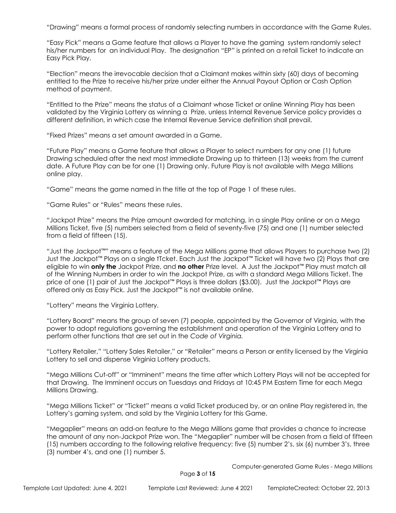"Drawing" means a formal process of randomly selecting numbers in accordance with the Game Rules.

"Easy Pick" means a Game feature that allows a Player to have the gaming system randomly select his/her numbers for an individual Play. The designation "EP" is printed on a retail Ticket to indicate an Easy Pick Play.

"Election" means the irrevocable decision that a Claimant makes within sixty (60) days of becoming entitled to the Prize to receive his/her prize under either the Annual Payout Option or Cash Option method of payment.

"Entitled to the Prize" means the status of a Claimant whose Ticket or online Winning Play has been validated by the Virginia Lottery as winning a Prize, unless Internal Revenue Service policy provides a different definition, in which case the Internal Revenue Service definition shall prevail.

"Fixed Prizes" means a set amount awarded in a Game.

"Future Play" means a Game feature that allows a Player to select numbers for any one (1) future Drawing scheduled after the next most immediate Drawing up to thirteen (13) weeks from the current date. A Future Play can be for one (1) Drawing only. Future Play is not available with Mega Millions online play.

"Game" means the game named in the title at the top of Page 1 of these rules.

"Game Rules" or "Rules" means these rules.

"Jackpot Prize" means the Prize amount awarded for matching, in a single Play online or on a Mega Millions Ticket, five (5) numbers selected from a field of seventy-five (75) and one (1) number selected from a field of fifteen (15).

"Just the Jackpot™" means a feature of the Mega Millions game that allows Players to purchase two (2) Just the Jackpot™ Plays on a single tTcket. Each Just the Jackpot™ Ticket will have two (2) Plays that are eligible to win **only the** Jackpot Prize, and **no other** Prize level. A Just the Jackpot™ Play must match all of the Winning Numbers in order to win the Jackpot Prize, as with a standard Mega Millions Ticket. The price of one (1) pair of Just the Jackpot™ Plays is three dollars (\$3.00). Just the Jackpot™ Plays are offered only as Easy Pick. Just the Jackpot™ is not available online.

"Lottery" means the Virginia Lottery.

"Lottery Board" means the group of seven (7) people, appointed by the Governor of Virginia, with the power to adopt regulations governing the establishment and operation of the Virginia Lottery and to perform other functions that are set out in the *Code of Virginia.*

"Lottery Retailer," "Lottery Sales Retailer," or "Retailer" means a Person or entity licensed by the Virginia Lottery to sell and dispense Virginia Lottery products.

"Mega Millions Cut-off" or "Imminent" means the time after which Lottery Plays will not be accepted for that Drawing. The Imminent occurs on Tuesdays and Fridays at 10:45 PM Eastern Time for each Mega Millions Drawing.

"Mega Millions Ticket" or "Ticket" means a valid Ticket produced by, or an online Play registered in, the Lottery's gaming system, and sold by the Virginia Lottery for this Game.

"Megaplier" means an add-on feature to the Mega Millions game that provides a chance to increase the amount of any non-Jackpot Prize won. The "Megaplier" number will be chosen from a field of fifteen (15) numbers according to the following relative frequency: five (5) number 2's, six (6) number 3's, three (3) number 4's, and one (1) number 5.

Computer-generated Game Rules - Mega Millions

Page **3** of **15**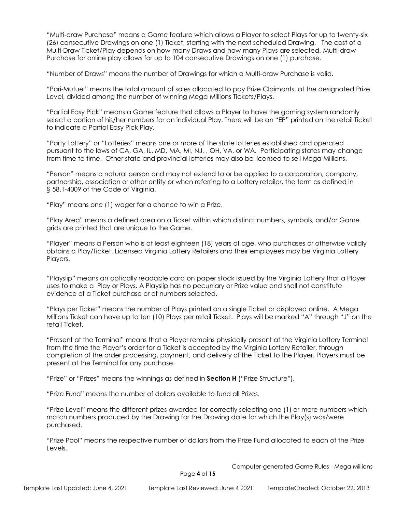"Multi-draw Purchase" means a Game feature which allows a Player to select Plays for up to twenty-six (26) consecutive Drawings on one (1) Ticket, starting with the next scheduled Drawing. The cost of a Multi-Draw Ticket/Play depends on how many Draws and how many Plays are selected. Multi-draw Purchase for online play allows for up to 104 consecutive Drawings on one (1) purchase.

"Number of Draws" means the number of Drawings for which a Multi-draw Purchase is valid.

"Pari-Mutuel" means the total amount of sales allocated to pay Prize Claimants, at the designated Prize Level, divided among the number of winning Mega Millions Tickets/Plays.

"Partial Easy Pick" means a Game feature that allows a Player to have the gaming system randomly select a portion of his/her numbers for an individual Play. There will be an "EP" printed on the retail Ticket to indicate a Partial Easy Pick Play.

"Party Lottery" or "Lotteries" means one or more of the state lotteries established and operated pursuant to the laws of CA, GA, IL, MD, MA, MI, NJ, , OH, VA, or WA. Participating states may change from time to time. Other state and provincial lotteries may also be licensed to sell Mega Millions.

"Person" means a natural person and may not extend to or be applied to a corporation, company, partnership, association or other entity or when referring to a Lottery retailer, the term as defined in § 58.1-4009 of the Code of Virginia.

"Play" means one (1) wager for a chance to win a Prize.

"Play Area" means a defined area on a Ticket within which distinct numbers, symbols, and/or Game grids are printed that are unique to the Game.

"Player" means a Person who is at least eighteen (18) years of age, who purchases or otherwise validly obtains a Play/Ticket. Licensed Virginia Lottery Retailers and their employees may be Virginia Lottery Players.

"Playslip" means an optically readable card on paper stock issued by the Virginia Lottery that a Player uses to make a Play or Plays. A Playslip has no pecuniary or Prize value and shall not constitute evidence of a Ticket purchase or of numbers selected.

"Plays per Ticket" means the number of Plays printed on a single Ticket or displayed online. A Mega Millions Ticket can have up to ten (10) Plays per retail Ticket. Plays will be marked "A" through "J" on the retail Ticket.

"Present at the Terminal" means that a Player remains physically present at the Virginia Lottery Terminal from the time the Player's order for a Ticket is accepted by the Virginia Lottery Retailer, through completion of the order processing, payment, and delivery of the Ticket to the Player. Players must be present at the Terminal for any purchase.

"Prize" or "Prizes" means the winnings as defined in **Section H** ("Prize Structure").

"Prize Fund" means the number of dollars available to fund all Prizes.

"Prize Level" means the different prizes awarded for correctly selecting one (1) or more numbers which match numbers produced by the Drawing for the Drawing date for which the Play(s) was/were purchased.

"Prize Pool" means the respective number of dollars from the Prize Fund allocated to each of the Prize Levels.

Computer-generated Game Rules - Mega Millions

Page **4** of **15**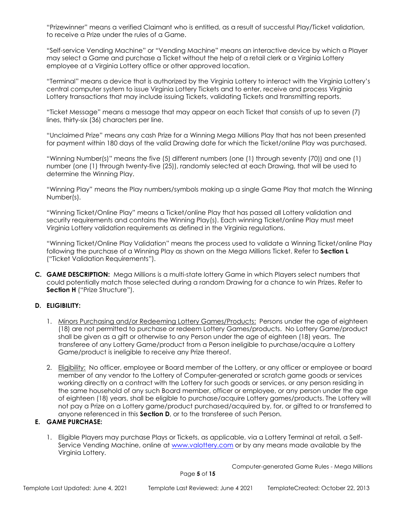"Prizewinner" means a verified Claimant who is entitled, as a result of successful Play/Ticket validation, to receive a Prize under the rules of a Game.

"Self-service Vending Machine" or "Vending Machine" means an interactive device by which a Player may select a Game and purchase a Ticket without the help of a retail clerk or a Virginia Lottery employee at a Virginia Lottery office or other approved location.

"Terminal" means a device that is authorized by the Virginia Lottery to interact with the Virginia Lottery's central computer system to issue Virginia Lottery Tickets and to enter, receive and process Virginia Lottery transactions that may include issuing Tickets, validating Tickets and transmitting reports.

"Ticket Message" means a message that may appear on each Ticket that consists of up to seven (7) lines, thirty-six (36) characters per line.

"Unclaimed Prize" means any cash Prize for a Winning Mega Millions Play that has not been presented for payment within 180 days of the valid Drawing date for which the Ticket/online Play was purchased.

"Winning Number(s)" means the five (5) different numbers (one (1) through seventy (70)) and one (1) number (one (1) through twenty-five (25)), randomly selected at each Drawing, that will be used to determine the Winning Play.

"Winning Play" means the Play numbers/symbols making up a single Game Play that match the Winning Number(s).

"Winning Ticket/Online Play" means a Ticket/online Play that has passed all Lottery validation and security requirements and contains the Winning Play(s). Each winning Ticket/online Play must meet Virginia Lottery validation requirements as defined in the Virginia regulations.

"Winning Ticket/Online Play Validation" means the process used to validate a Winning Ticket/online Play following the purchase of a Winning Play as shown on the Mega Millions Ticket. Refer to **Section L** ("Ticket Validation Requirements").

**C. GAME DESCRIPTION:** Mega Millions is a multi-state lottery Game in which Players select numbers that could potentially match those selected during a random Drawing for a chance to win Prizes. Refer to **Section H** ("Prize Structure").

## **D. ELIGIBILITY:**

- 1. Minors Purchasing and/or Redeeming Lottery Games/Products: Persons under the age of eighteen (18) are not permitted to purchase or redeem Lottery Games/products. No Lottery Game/product shall be given as a gift or otherwise to any Person under the age of eighteen (18) years. The transferee of any Lottery Game/product from a Person ineligible to purchase/acquire a Lottery Game/product is ineligible to receive any Prize thereof.
- 2. Eligibility: No officer, employee or Board member of the Lottery, or any officer or employee or board member of any vendor to the Lottery of Computer-generated or scratch game goods or services working directly on a contract with the Lottery for such goods or services, or any person residing in the same household of any such Board member, officer or employee, or any person under the age of eighteen (18) years, shall be eligible to purchase/acquire Lottery games/products. The Lottery will not pay a Prize on a Lottery game/product purchased/acquired by, for, or gifted to or transferred to anyone referenced in this **Section D**, or to the transferee of such Person.

## **E. GAME PURCHASE:**

1. Eligible Players may purchase Plays or Tickets, as applicable, via a Lottery Terminal at retail, a SelfService Vending Machine, online at [www.valottery.com](http://www.valottery.com/) or by any means made available by the Virginia Lottery.

Computer-generated Game Rules - Mega Millions

Page **5** of **15**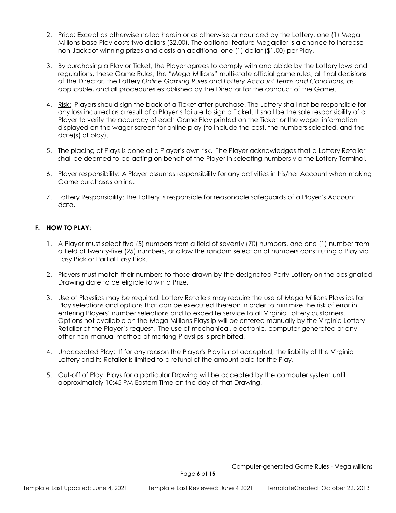- 2. Price: Except as otherwise noted herein or as otherwise announced by the Lottery, one (1) Mega Millions base Play costs two dollars (\$2.00). The optional feature Megaplier is a chance to increase non-Jackpot winning prizes and costs an additional one (1) dollar (\$1.00) per Play.
- 3. By purchasing a Play or Ticket, the Player agrees to comply with and abide by the Lottery laws and regulations, these Game Rules, the "Mega Millions" multi-state official game rules, all final decisions of the Director, the Lottery *Online Gaming Rules* and *Lottery Account Terms and Conditions*, as applicable, and all procedures established by the Director for the conduct of the Game.
- 4. Risk: Players should sign the back of a Ticket after purchase. The Lottery shall not be responsible for any loss incurred as a result of a Player's failure to sign a Ticket. It shall be the sole responsibility of a Player to verify the accuracy of each Game Play printed on the Ticket or the wager information displayed on the wager screen for online play (to include the cost, the numbers selected, and the date(s) of play).
- 5. The placing of Plays is done at a Player's own risk. The Player acknowledges that a Lottery Retailer shall be deemed to be acting on behalf of the Player in selecting numbers via the Lottery Terminal.
- 6. Player responsibility: A Player assumes responsibility for any activities in his/her Account when making Game purchases online.
- 7. Lottery Responsibility: The Lottery is responsible for reasonable safeguards of a Player's Account data.

### **F. HOW TO PLAY:**

- 1. A Player must select five (5) numbers from a field of seventy (70) numbers, and one (1) number from a field of twenty-five (25) numbers, or allow the random selection of numbers constituting a Play via Easy Pick or Partial Easy Pick.
- 2. Players must match their numbers to those drawn by the designated Party Lottery on the designated Drawing date to be eligible to win a Prize.
- 3. Use of Playslips may be required: Lottery Retailers may require the use of Mega Millions Playslips for Play selections and options that can be executed thereon in order to minimize the risk of error in entering Players' number selections and to expedite service to all Virginia Lottery customers. Options not available on the Mega Millions Playslip will be entered manually by the Virginia Lottery Retailer at the Player's request. The use of mechanical, electronic, computer-generated or any other non-manual method of marking Playslips is prohibited.
- 4. Unaccepted Play: If for any reason the Player's Play is not accepted, the liability of the Virginia Lottery and its Retailer is limited to a refund of the amount paid for the Play.
- 5. Cut-off of Play: Plays for a particular Drawing will be accepted by the computer system until approximately 10:45 PM Eastern Time on the day of that Drawing.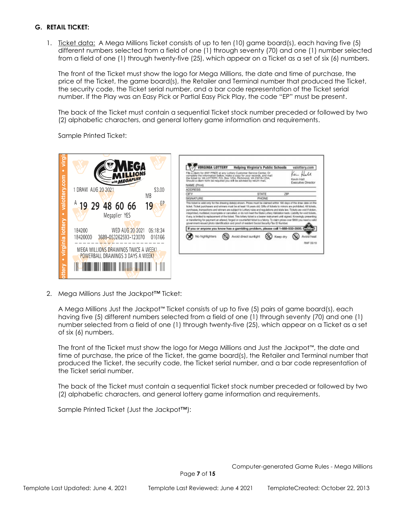### **G. RETAIL TICKET:**

1. Ticket data: A Mega Millions Ticket consists of up to ten (10) game board(s), each having five (5) different numbers selected from a field of one (1) through seventy (70) and one (1) number selected from a field of one (1) through twenty-five (25), which appear on a Ticket as a set of six (6) numbers.

The front of the Ticket must show the logo for Mega Millions, the date and time of purchase, the price of the Ticket, the game board(s), the Retailer and Terminal number that produced the Ticket, the security code, the Ticket serial number, and a bar code representation of the Ticket serial number. If the Play was an Easy Pick or Partial Easy Pick Play, the code "EP" must be present.

The back of the Ticket must contain a sequential Ticket stock number preceded or followed by two (2) alphabetic characters, and general lottery game information and requirements.

Sample Printed Ticket:

|                                                                                                                            |                             |                                                                                                                                                                                                                                     | <b>Helping Virginia's Public Schools</b>                                                                                                                                                                                                                                                                                                                                                                                                                                                          | valottery.com                   |
|----------------------------------------------------------------------------------------------------------------------------|-----------------------------|-------------------------------------------------------------------------------------------------------------------------------------------------------------------------------------------------------------------------------------|---------------------------------------------------------------------------------------------------------------------------------------------------------------------------------------------------------------------------------------------------------------------------------------------------------------------------------------------------------------------------------------------------------------------------------------------------------------------------------------------------|---------------------------------|
| with MEGAPLIER                                                                                                             |                             | complete the information below, make a copy for your records, and mail<br>the ticket to: VA LOTTERY, P.O. Box 1254, Richmond, VA 23218-1254,<br>Should a claim form be required you will be advised by return mail.<br>NAME (Print) | MAY PRIZE at any Lottery Customer Service Center, Or                                                                                                                                                                                                                                                                                                                                                                                                                                              | Kevin Hall<br>Executive Directo |
| 1 DRAW AUG 20 2021                                                                                                         | \$3.00                      | <b>ADDRESS</b>                                                                                                                                                                                                                      |                                                                                                                                                                                                                                                                                                                                                                                                                                                                                                   |                                 |
|                                                                                                                            | МB                          | CITY                                                                                                                                                                                                                                | STATE                                                                                                                                                                                                                                                                                                                                                                                                                                                                                             | 21P                             |
|                                                                                                                            |                             | SIGNATURE                                                                                                                                                                                                                           | PHONE                                                                                                                                                                                                                                                                                                                                                                                                                                                                                             |                                 |
| Megaplier YES                                                                                                              |                             |                                                                                                                                                                                                                                     | traigninted, multipled, incomplete or cancelled, or do not meet the State Lottery Validation texts. Liability for void tickets,<br>if are, is limited to replacement of the ticket. This lottery ticket is a bearer instrument until signed. Knowingly presenting<br>or transferring for payment an altered, forged or counterfeit tidost is a felony. To claim prizes over \$800 you need a valid<br>government-issued photo identification and proof of resident Social Security/Tex ID Number. |                                 |
| Ĕ<br>184200                                                                                                                | WED AUG 20 2021<br>05:18:34 |                                                                                                                                                                                                                                     | If you or anyone you know has a gambling problem, please call 1-588-532-3500.                                                                                                                                                                                                                                                                                                                                                                                                                     |                                 |
| 3689-053262593-123070<br>18420000                                                                                          | 016166                      | No highlighters                                                                                                                                                                                                                     | Avoid direct sunlight<br>Keep dry                                                                                                                                                                                                                                                                                                                                                                                                                                                                 |                                 |
| <b>DJIM</b><br>MEGA MILLIONS DRAWINGS TWICE A WEEK!<br><b>POWERBALL DRAWINGS 3 DAYS A WEEK!</b><br><u> Herman Herman (</u> |                             |                                                                                                                                                                                                                                     |                                                                                                                                                                                                                                                                                                                                                                                                                                                                                                   |                                 |
|                                                                                                                            |                             |                                                                                                                                                                                                                                     |                                                                                                                                                                                                                                                                                                                                                                                                                                                                                                   |                                 |

2. Mega Millions Just the Jackpot™ Ticket:

A Mega Millions Just the Jackpot™ Ticket consists of up to five (5) pairs of game board(s), each having five (5) different numbers selected from a field of one (1) through seventy (70) and one (1) number selected from a field of one (1) through twenty-five (25), which appear on a Ticket as a set of six (6) numbers.

The front of the Ticket must show the logo for Mega Millions and Just the Jackpot™, the date and time of purchase, the price of the Ticket, the game board(s), the Retailer and Terminal number that produced the Ticket, the security code, the Ticket serial number, and a bar code representation of the Ticket serial number.

The back of the Ticket must contain a sequential Ticket stock number preceded or followed by two (2) alphabetic characters, and general lottery game information and requirements.

Sample Printed Ticket (Just the Jackpot™):

Page **7** of **15**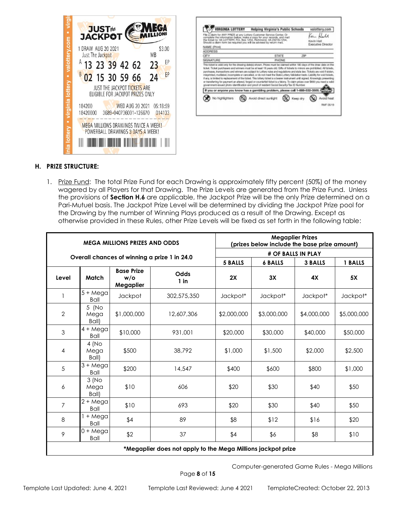

| <b>VIRGINIA LOTTERY</b><br>Fillo a claim for ANY PRIZE at any Lottery Customer Service Center. Or<br>complete the information below, make a copy for your records, and mail<br>the Solet for VA LOTTERY, P.O. Box 1254, Richmond, VA 23218-1254,<br>Should a claim form be required you will be advised by return mail.                                                                                                                                                                      | Helping Virginia's Public Schools |              |     | valottery.com<br>diam.<br>Kevin Hall<br>Executive Director |
|----------------------------------------------------------------------------------------------------------------------------------------------------------------------------------------------------------------------------------------------------------------------------------------------------------------------------------------------------------------------------------------------------------------------------------------------------------------------------------------------|-----------------------------------|--------------|-----|------------------------------------------------------------|
| NAME (Print)                                                                                                                                                                                                                                                                                                                                                                                                                                                                                 |                                   |              |     |                                                            |
| <b>ADDRESS</b>                                                                                                                                                                                                                                                                                                                                                                                                                                                                               |                                   |              |     |                                                            |
| CITY                                                                                                                                                                                                                                                                                                                                                                                                                                                                                         |                                   | <b>STATE</b> | 71P |                                                            |
|                                                                                                                                                                                                                                                                                                                                                                                                                                                                                              |                                   | PHONE        |     |                                                            |
| SIGNATURE<br>This ticket is yolid only for the drawing detelp) shown. Prizes must be claimed within 190 days of the draw date on the<br>ficket. Ticket purchasers and winners must be at least 18 years old. Gifts of tokets to minors are prohibited. All tickets,<br>parchases, transactions and winners are subject to Lottery rules and regulations and state law. Tickets are void if stolen.                                                                                           |                                   |              |     |                                                            |
| trieprinted, mutilided, incomplete or cancelled, or do not meet the State Lottery Validation texts. Liability for exiditioles,<br>If any, is limited to replacement of the todae. This lottery taxed is a beanw instrument until signed. Knowingly presenting<br>or transferring for payment an altered, forged or counterful tidost is a falony. To claim prizes over \$800 you need a valid<br>government-lesued photo identification and proof of resident Social Security/Tex ID Number. |                                   |              |     |                                                            |
| If you or anyone you know has a gambling problem, please call 1-888-532-3500.                                                                                                                                                                                                                                                                                                                                                                                                                |                                   |              |     |                                                            |

#### **H. PRIZE STRUCTURE:**

1. Prize Fund: The total Prize Fund for each Drawing is approximately fifty percent (50%) of the money wagered by all Players for that Drawing. The Prize Levels are generated from the Prize Fund. Unless the provisions of **Section H.6** are applicable, the Jackpot Prize will be the only Prize determined on a Pari-Mutuel basis. The Jackpot Prize Level will be determined by dividing the Jackpot Prize pool for the Drawing by the number of Winning Plays produced as a result of the Drawing. Except as otherwise provided in these Rules, other Prize Levels will be fixed as set forth in the following table:

| <b>MEGA MILLIONS PRIZES AND ODDS</b>                         |                            |                                          |                                              | <b>Megaplier Prizes</b><br>(prizes below include the base prize amount) |                    |                |             |
|--------------------------------------------------------------|----------------------------|------------------------------------------|----------------------------------------------|-------------------------------------------------------------------------|--------------------|----------------|-------------|
|                                                              |                            |                                          | Overall chances of winning a prize 1 in 24.0 |                                                                         | # OF BALLS IN PLAY |                |             |
|                                                              |                            |                                          |                                              | <b>5 BALLS</b>                                                          | <b>6 BALLS</b>     | <b>3 BALLS</b> | 1 BALLS     |
| Level                                                        | Match                      | <b>Base Prize</b><br>$w$ /o<br>Megaplier | Odds<br>$1$ in                               | 2X                                                                      | 3X                 | 4X             | 5X          |
|                                                              | $5 + Mega$<br><b>Ball</b>  | Jackpot                                  | 302,575,350                                  | Jackpot*                                                                | Jackpot*           | Jackpot*       | Jackpot*    |
| $\overline{2}$                                               | 5 (No<br>Mega<br>Ball)     | \$1,000,000                              | 12,607,306                                   | \$2,000,000                                                             | \$3,000,000        | \$4,000,000    | \$5,000,000 |
| 3                                                            | $4 + Mega$<br>Ball         | \$10,000                                 | 931,001                                      | \$20,000                                                                | \$30,000           | \$40,000       | \$50,000    |
| 4                                                            | 4(No)<br>Mega<br>Ball)     | \$500                                    | 38,792                                       | \$1,000                                                                 | \$1,500            | \$2,000        | \$2,500     |
| 5                                                            | $3 + M$ ega<br>Ball        | \$200                                    | 14,547                                       | \$400                                                                   | \$600              | \$800          | \$1,000     |
| 6                                                            | 3(No)<br>Mega<br>Ball)     | \$10                                     | 606                                          | \$20                                                                    | \$30               | \$40           | \$50        |
| $\overline{7}$                                               | 2 + Mega<br>Ball           | \$10                                     | 693                                          | \$20                                                                    | \$30               | \$40           | \$50        |
| 8                                                            | $1 + M$ ega<br><b>Ball</b> | \$4                                      | 89                                           | \$8                                                                     | \$12               | \$16           | \$20        |
| 9                                                            | $0 + M$ ega<br>Ball        | \$2                                      | 37                                           | \$4                                                                     | \$6                | \$8            | \$10        |
| *Megaplier does not apply to the Mega Millions jackpot prize |                            |                                          |                                              |                                                                         |                    |                |             |

Computer-generated Game Rules - Mega Millions

Page **8** of **15**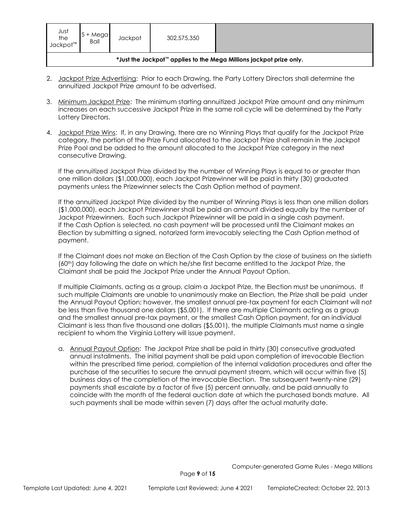| Just<br>the<br>Jackpot <sup>™</sup>                                 | Megal<br>Ball | Jackpot | 302,575,350 |  |  |
|---------------------------------------------------------------------|---------------|---------|-------------|--|--|
| *Just the Jackpot™ applies to the Mega Millions jackpot prize only. |               |         |             |  |  |

- 2. Jackpot Prize Advertising: Prior to each Drawing, the Party Lottery Directors shall determine the annuitized Jackpot Prize amount to be advertised.
- 3. Minimum Jackpot Prize: The minimum starting annuitized Jackpot Prize amount and any minimum increases on each successive Jackpot Prize in the same roll cycle will be determined by the Party Lottery Directors.
- 4. Jackpot Prize Wins: If, in any Drawing, there are no Winning Plays that qualify for the Jackpot Prize category, the portion of the Prize Fund allocated to the Jackpot Prize shall remain in the Jackpot Prize Pool and be added to the amount allocated to the Jackpot Prize category in the next consecutive Drawing.

If the annuitized Jackpot Prize divided by the number of Winning Plays is equal to or greater than one million dollars (\$1,000,000), each Jackpot Prizewinner will be paid in thirty (30) graduated payments unless the Prizewinner selects the Cash Option method of payment.

If the annuitized Jackpot Prize divided by the number of Winning Plays is less than one million dollars (\$1,000,000), each Jackpot Prizewinner shall be paid an amount divided equally by the number of Jackpot Prizewinners. Each such Jackpot Prizewinner will be paid in a single cash payment. If the Cash Option is selected, no cash payment will be processed until the Claimant makes an Election by submitting a signed, notarized form irrevocably selecting the Cash Option method of payment.

If the Claimant does not make an Election of the Cash Option by the close of business on the sixtieth (60th) day following the date on which he/she first became entitled to the Jackpot Prize, the Claimant shall be paid the Jackpot Prize under the Annual Payout Option.

If multiple Claimants, acting as a group, claim a Jackpot Prize, the Election must be unanimous. If such multiple Claimants are unable to unanimously make an Election, the Prize shall be paid under the Annual Payout Option; however, the smallest annual pre-tax payment for each Claimant will not be less than five thousand one dollars (\$5,001). If there are multiple Claimants acting as a group and the smallest annual pre-tax payment, or the smallest Cash Option payment, for an individual Claimant is less than five thousand one dollars (\$5,001), the multiple Claimants must name a single recipient to whom the Virginia Lottery will issue payment.

a. Annual Payout Option: The Jackpot Prize shall be paid in thirty (30) consecutive graduated annual installments. The initial payment shall be paid upon completion of irrevocable Election within the prescribed time period, completion of the internal validation procedures and after the purchase of the securities to secure the annual payment stream, which will occur within five (5) business days of the completion of the irrevocable Election. The subsequent twenty-nine (29) payments shall escalate by a factor of five (5) percent annually, and be paid annually to coincide with the month of the federal auction date at which the purchased bonds mature. All such payments shall be made within seven (7) days after the actual maturity date.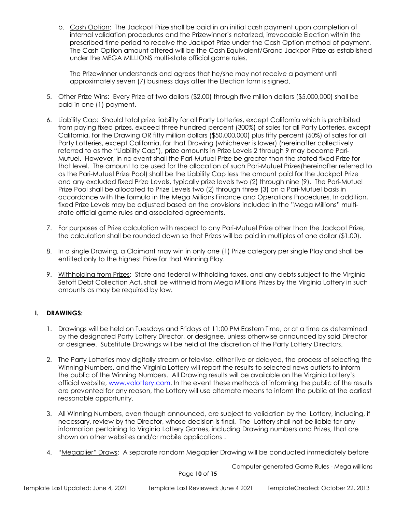b. Cash Option: The Jackpot Prize shall be paid in an initial cash payment upon completion of internal validation procedures and the Prizewinner's notarized, irrevocable Election within the prescribed time period to receive the Jackpot Prize under the Cash Option method of payment. The Cash Option amount offered will be the Cash Equivalent/Grand Jackpot Prize as established under the MEGA MILLIONS multi-state official game rules.

The Prizewinner understands and agrees that he/she may not receive a payment until approximately seven (7) business days after the Election form is signed.

- 5. Other Prize Wins: Every Prize of two dollars (\$2.00) through five million dollars (\$5,000,000) shall be paid in one (1) payment.
- 6. Liability Cap: Should total prize liability for all Party Lotteries, except California which is prohibited from paying fixed prizes, exceed three hundred percent (300%) of sales for all Party Lotteries, except California, for the Drawing OR fifty million dollars (\$50,000,000) plus fifty percent (50%) of sales for all Party Lotteries, except California, for that Drawing (whichever is lower) (hereinafter collectively referred to as the "Liability Cap"), prize amounts in Prize Levels 2 through 9 may become Pari-Mutuel. However, in no event shall the Pari-Mutuel Prize be greater than the stated fixed Prize for that level. The amount to be used for the allocation of such Pari-Mutuel Prizes(hereinafter referred to as the Pari-Mutuel Prize Pool) shall be the Liability Cap less the amount paid for the Jackpot Prize and any excluded fixed Prize Levels, typically prize levels two (2) through nine (9). The Pari-Mutuel Prize Pool shall be allocated to Prize Levels two (2) through three (3) on a Pari-Mutuel basis in accordance with the formula in the Mega Millions Finance and Operations Procedures. In addition, fixed Prize Levels may be adjusted based on the provisions included in the "Mega Millions" multistate official game rules and associated agreements.
- 7. For purposes of Prize calculation with respect to any Pari-Mutuel Prize other than the Jackpot Prize, the calculation shall be rounded down so that Prizes will be paid in multiples of one dollar (\$1.00).
- 8. In a single Drawing, a Claimant may win in only one (1) Prize category per single Play and shall be entitled only to the highest Prize for that Winning Play.
- 9. Withholding from Prizes: State and federal withholding taxes, and any debts subject to the Virginia Setoff Debt Collection Act, shall be withheld from Mega Millions Prizes by the Virginia Lottery in such amounts as may be required by law.

## **I. DRAWINGS:**

- 1. Drawings will be held on Tuesdays and Fridays at 11:00 PM Eastern Time, or at a time as determined by the designated Party Lottery Director, or designee, unless otherwise announced by said Director or designee. Substitute Drawings will be held at the discretion of the Party Lottery Directors.
- 2. The Party Lotteries may digitally stream or televise, either live or delayed, the process of selecting the Winning Numbers, and the Virginia Lottery will report the results to selected news outlets to inform the public of the Winning Numbers. All Drawing results will be available on the Virginia Lottery's official website, [www.valottery.com.](http://www.valottery.com/) In the event these methods of informing the public of the results are prevented for any reason, the Lottery will use alternate means to inform the public at the earliest reasonable opportunity.
- 3. All Winning Numbers, even though announced, are subject to validation by the Lottery, including, if necessary, review by the Director, whose decision is final. The Lottery shall not be liable for any information pertaining to Virginia Lottery Games, including Drawing numbers and Prizes, that are shown on other websites and/or mobile applications .
- 4. "Megaplier" Draws: A separate random Megaplier Drawing will be conducted immediately before

Computer-generated Game Rules - Mega Millions

Page **10** of **15**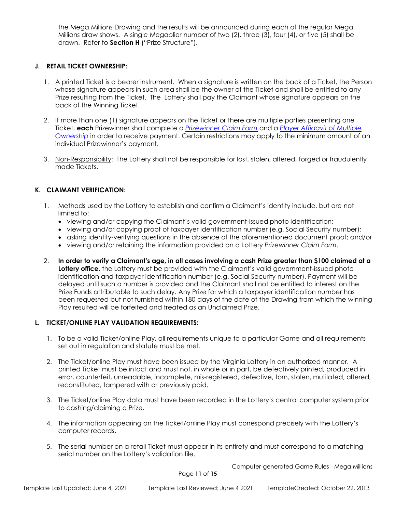the Mega Millions Drawing and the results will be announced during each of the regular Mega Millions draw shows. A single Megaplier number of two (2), three (3), four (4), or five (5) shall be drawn. Refer to **Section H** ("Prize Structure").

## **J. RETAIL TICKET OWNERSHIP:**

- 1. A printed Ticket is a bearer instrument. When a signature is written on the back of a Ticket, the Person whose signature appears in such area shall be the owner of the Ticket and shall be entitled to any Prize resulting from the Ticket. The Lottery shall pay the Claimant whose signature appears on the back of the Winning Ticket.
- 2. If more than one (1) signature appears on the Ticket or there are multiple parties presenting one Ticket, **each** Prizewinner shall complete a *[Prizewinner Claim Form](https://valottery4.sharepoint.com/sites/ResourceCenter/_layouts/15/Doc.aspx?sourcedoc=%7B7D78FF86-E0F6-456E-A8D4-59D4B27C6F07%7D&file=Prizewinner%20Claim%20Form%20-%20Game.docx&action=default&mobileredirect=true)* and a *[Player Affidavit of Multiple](https://valottery4.sharepoint.com/sites/ResourceCenter/_layouts/15/Doc.aspx?sourcedoc=%7BF5FC9779-3686-4BA2-B38A-905B040C1593%7D&file=Player%20Affidavit%20of%20Multiple%20Ownership.doc&action=default&mobileredirect=true)  [Ownership](https://valottery4.sharepoint.com/sites/ResourceCenter/_layouts/15/Doc.aspx?sourcedoc=%7BF5FC9779-3686-4BA2-B38A-905B040C1593%7D&file=Player%20Affidavit%20of%20Multiple%20Ownership.doc&action=default&mobileredirect=true)* in order to receive payment. Certain restrictions may apply to the minimum amount of an individual Prizewinner's payment.
- 3. Non-Responsibility: The Lottery shall not be responsible for lost, stolen, altered, forged or fraudulently made Tickets.

## **K. CLAIMANT VERIFICATION:**

- 1. Methods used by the Lottery to establish and confirm a Claimant's identity include, but are not limited to:
	- viewing and/or copying the Claimant's valid government-issued photo identification;
	- viewing and/or copying proof of taxpayer identification number (e.g. Social Security number);
	- asking identity-verifying questions in the absence of the aforementioned document proof; and/or
	- viewing and/or retaining the information provided on a Lottery *Prizewinner Claim Form*.
- 2. **In order to verify a Claimant's age, in all cases involving a cash Prize greater than \$100 claimed at a Lottery office**, the Lottery must be provided with the Claimant's valid government-issued photo identification and taxpayer identification number (e.g. Social Security number). Payment will be delayed until such a number is provided and the Claimant shall not be entitled to interest on the Prize Funds attributable to such delay. Any Prize for which a taxpayer identification number has been requested but not furnished within 180 days of the date of the Drawing from which the winning Play resulted will be forfeited and treated as an Unclaimed Prize.

#### **L. TICKET/ONLINE PLAY VALIDATION REQUIREMENTS:**

- 1. To be a valid Ticket/online Play, all requirements unique to a particular Game and all requirements set out in regulation and statute must be met.
- 2. The Ticket/online Play must have been issued by the Virginia Lottery in an authorized manner. A printed Ticket must be intact and must not, in whole or in part, be defectively printed, produced in error, counterfeit, unreadable, incomplete, mis-registered, defective, torn, stolen, mutilated, altered, reconstituted, tampered with or previously paid.
- 3. The Ticket/online Play data must have been recorded in the Lottery's central computer system prior to cashing/claiming a Prize.
- 4. The information appearing on the Ticket/online Play must correspond precisely with the Lottery's computer records.
- 5. The serial number on a retail Ticket must appear in its entirety and must correspond to a matching serial number on the Lottery's validation file.

Computer-generated Game Rules - Mega Millions

Page **11** of **15**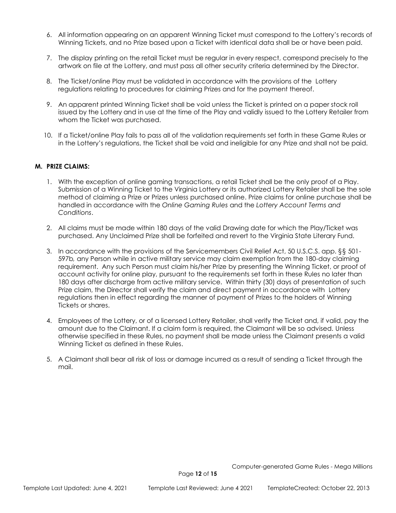- 6. All information appearing on an apparent Winning Ticket must correspond to the Lottery's records of Winning Tickets, and no Prize based upon a Ticket with identical data shall be or have been paid.
- 7. The display printing on the retail Ticket must be regular in every respect, correspond precisely to the artwork on file at the Lottery, and must pass all other security criteria determined by the Director.
- 8. The Ticket/online Play must be validated in accordance with the provisions of the Lottery regulations relating to procedures for claiming Prizes and for the payment thereof.
- 9. An apparent printed Winning Ticket shall be void unless the Ticket is printed on a paper stock roll issued by the Lottery and in use at the time of the Play and validly issued to the Lottery Retailer from whom the Ticket was purchased.
- 10. If a Ticket/online Play fails to pass all of the validation requirements set forth in these Game Rules or in the Lottery's regulations, the Ticket shall be void and ineligible for any Prize and shall not be paid.

#### **M. PRIZE CLAIMS:**

- 1. With the exception of online gaming transactions, a retail Ticket shall be the only proof of a Play. Submission of a Winning Ticket to the Virginia Lottery or its authorized Lottery Retailer shall be the sole method of claiming a Prize or Prizes unless purchased online. Prize claims for online purchase shall be handled in accordance with the *Online Gaming Rules* and the *Lottery Account Terms and Conditions*.
- 2. All claims must be made within 180 days of the valid Drawing date for which the Play/Ticket was purchased. Any Unclaimed Prize shall be forfeited and revert to the Virginia State Literary Fund.
- 3. In accordance with the provisions of the Servicemembers Civil Relief Act, 50 U.S.C.S. app. §§ 501- 597b*,* any Person while in active military service may claim exemption from the 180-day claiming requirement. Any such Person must claim his/her Prize by presenting the Winning Ticket, or proof of account activity for online play, pursuant to the requirements set forth in these Rules no later than 180 days after discharge from active military service. Within thirty (30) days of presentation of such Prize claim, the Director shall verify the claim and direct payment in accordance with Lottery regulations then in effect regarding the manner of payment of Prizes to the holders of Winning Tickets or shares.
- 4. Employees of the Lottery, or of a licensed Lottery Retailer, shall verify the Ticket and, if valid, pay the amount due to the Claimant. If a claim form is required, the Claimant will be so advised. Unless otherwise specified in these Rules, no payment shall be made unless the Claimant presents a valid Winning Ticket as defined in these Rules.
- 5. A Claimant shall bear all risk of loss or damage incurred as a result of sending a Ticket through the mail.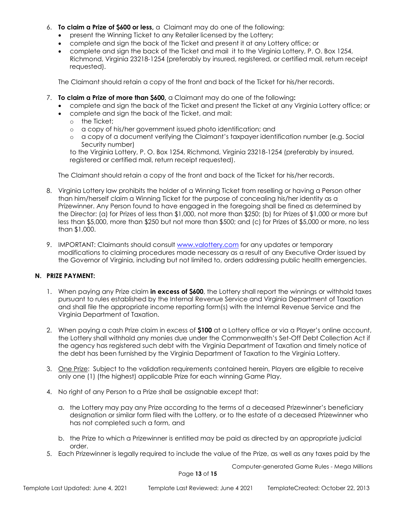- 6. **To claim a Prize of \$600 or less,** a Claimant may do one of the following:
	- present the Winning Ticket to any Retailer licensed by the Lottery;
	- complete and sign the back of the Ticket and present it at any Lottery office; or
	- complete and sign the back of the Ticket and mail it to the Virginia Lottery, P. O. Box 1254, Richmond, Virginia 23218-1254 (preferably by insured, registered, or certified mail, return receipt requested).

The Claimant should retain a copy of the front and back of the Ticket for his/her records.

- 7. **To claim a Prize of more than \$600,** a Claimant may do one of the following**:**
	- complete and sign the back of the Ticket and present the Ticket at any Virginia Lottery office; or
		- complete and sign the back of the Ticket, and mail:
			- o the Ticket;
			- o a copy of his/her government issued photo identification; and
			- o a copy of a document verifying the Claimant's taxpayer identification number (e.g. Social Security number)

to the Virginia Lottery, P. O. Box 1254, Richmond, Virginia 23218-1254 (preferably by insured, registered or certified mail, return receipt requested).

The Claimant should retain a copy of the front and back of the Ticket for his/her records.

- 8. Virginia Lottery law prohibits the holder of a Winning Ticket from reselling or having a Person other than him/herself claim a Winning Ticket for the purpose of concealing his/her identity as a Prizewinner. Any Person found to have engaged in the foregoing shall be fined as determined by the Director: (a) for Prizes of less than \$1,000, not more than \$250; (b) for Prizes of \$1,000 or more but less than \$5,000, more than \$250 but not more than \$500; and (c) for Prizes of \$5,000 or more, no less than \$1,000.
- 9. IMPORTANT: Claimants should consult [www.valottery.com](https://www.valottery.com/) for any updates or temporary modifications to claiming procedures made necessary as a result of any Executive Order issued by the Governor of Virginia, including but not limited to, orders addressing public health emergencies.

#### **N. PRIZE PAYMENT:**

- 1. When paying any Prize claim **in excess of \$600**, the Lottery shall report the winnings or withhold taxes pursuant to rules established by the Internal Revenue Service and Virginia Department of Taxation and shall file the appropriate income reporting form(s) with the Internal Revenue Service and the Virginia Department of Taxation.
- 2. When paying a cash Prize claim in excess of **\$100** at a Lottery office or via a Player's online account, the Lottery shall withhold any monies due under the Commonwealth's Set-Off Debt Collection Act if the agency has registered such debt with the Virginia Department of Taxation and timely notice of the debt has been furnished by the Virginia Department of Taxation to the Virginia Lottery.
- 3. One Prize: Subject to the validation requirements contained herein, Players are eligible to receive only one (1) (the highest) applicable Prize for each winning Game Play.
- 4. No right of any Person to a Prize shall be assignable except that:
	- a. the Lottery may pay any Prize according to the terms of a deceased Prizewinner's beneficiary designation or similar form filed with the Lottery, or to the estate of a deceased Prizewinner who has not completed such a form, and
	- b. the Prize to which a Prizewinner is entitled may be paid as directed by an appropriate judicial order.
- 5. Each Prizewinner is legally required to include the value of the Prize, as well as any taxes paid by the

Computer-generated Game Rules - Mega Millions

Page **13** of **15**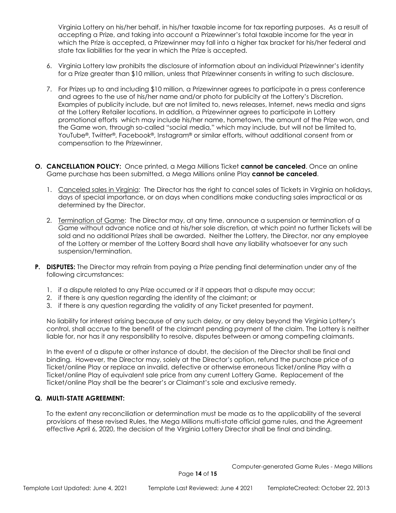Virginia Lottery on his/her behalf, in his/her taxable income for tax reporting purposes. As a result of accepting a Prize, and taking into account a Prizewinner's total taxable income for the year in which the Prize is accepted, a Prizewinner may fall into a higher tax bracket for his/her federal and state tax liabilities for the year in which the Prize is accepted.

- 6. Virginia Lottery law prohibits the disclosure of information about an individual Prizewinner's identity for a Prize greater than \$10 million, unless that Prizewinner consents in writing to such disclosure.
- 7. For Prizes up to and including \$10 million, a Prizewinner agrees to participate in a press conference and agrees to the use of his/her name and/or photo for publicity at the Lottery's Discretion. Examples of publicity include, but are not limited to, news releases, Internet, news media and signs at the Lottery Retailer locations. In addition, a Prizewinner agrees to participate in Lottery promotional efforts which may include his/her name, hometown, the amount of the Prize won, and the Game won, through so-called "social media," which may include, but will not be limited to, YouTube®, Twitter®, Facebook®, Instagram® or similar efforts, without additional consent from or compensation to the Prizewinner.
- **O. CANCELLATION POLICY:** Once printed, a Mega Millions Ticket **cannot be canceled**. Once an online Game purchase has been submitted, a Mega Millions online Play **cannot be canceled**.
	- 1. Canceled sales in Virginia: The Director has the right to cancel sales of Tickets in Virginia on holidays, days of special importance, or on days when conditions make conducting sales impractical or as determined by the Director.
	- 2. Termination of Game: The Director may, at any time, announce a suspension or termination of a Game without advance notice and at his/her sole discretion, at which point no further Tickets will be sold and no additional Prizes shall be awarded. Neither the Lottery, the Director, nor any employee of the Lottery or member of the Lottery Board shall have any liability whatsoever for any such suspension/termination.
- **P. DISPUTES:** The Director may refrain from paying a Prize pending final determination under any of the following circumstances:
	- 1. if a dispute related to any Prize occurred or if it appears that a dispute may occur;
	- 2. if there is any question regarding the identity of the claimant; or
	- 3. if there is any question regarding the validity of any Ticket presented for payment.

No liability for interest arising because of any such delay, or any delay beyond the Virginia Lottery's control, shall accrue to the benefit of the claimant pending payment of the claim. The Lottery is neither liable for, nor has it any responsibility to resolve, disputes between or among competing claimants.

In the event of a dispute or other instance of doubt, the decision of the Director shall be final and binding. However, the Director may, solely at the Director's option, refund the purchase price of a Ticket/online Play or replace an invalid, defective or otherwise erroneous Ticket/online Play with a Ticket/online Play of equivalent sale price from any current Lottery Game. Replacement of the Ticket/online Play shall be the bearer's or Claimant's sole and exclusive remedy.

#### **Q. MULTI-STATE AGREEMENT:**

To the extent any reconciliation or determination must be made as to the applicability of the several provisions of these revised Rules, the Mega Millions multi-state official game rules, and the Agreement effective April 6, 2020, the decision of the Virginia Lottery Director shall be final and binding.

Computer-generated Game Rules - Mega Millions

Page **14** of **15**